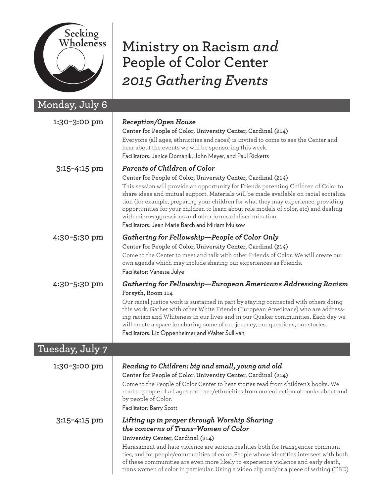

## **Ministry on Racism** *and* **People of Color Center** *2015 Gathering Events*

| <u>Monday, July 6</u> |                                                                                                                                                                                                                                                                                                                                                                                                                                                                                                                                                                                      |
|-----------------------|--------------------------------------------------------------------------------------------------------------------------------------------------------------------------------------------------------------------------------------------------------------------------------------------------------------------------------------------------------------------------------------------------------------------------------------------------------------------------------------------------------------------------------------------------------------------------------------|
| 1:30-3:00 pm          | <b>Reception/Open House</b><br>Center for People of Color, University Center, Cardinal (214)<br>Everyone (all ages, ethnicities and races) is invited to come to see the Center and<br>hear about the events we will be sponsoring this week.<br>Facilitators: Janice Domanik, John Meyer, and Paul Ricketts                                                                                                                                                                                                                                                                         |
| 3:15-4:15 pm          | <b>Parents of Children of Color</b><br>Center for People of Color, University Center, Cardinal (214)<br>This session will provide an opportunity for Friends parenting Children of Color to<br>share ideas and mutual support. Materials will be made available on racial socializa-<br>tion (for example, preparing your children for what they may experience, providing<br>opportunities for your children to learn about role models of color, etc) and dealing<br>with micro-aggressions and other forms of discrimination.<br>Facilitators: Jean Marie Barch and Miriam Mulsow |
| 4:30-5:30 pm          | Gathering for Fellowship—People of Color Only<br>Center for People of Color, University Center, Cardinal (214)<br>Come to the Center to meet and talk with other Friends of Color. We will create our<br>own agenda which may include sharing our experiences as Friends.<br>Facilitator: Vanessa Julye                                                                                                                                                                                                                                                                              |
| 4:30-5:30 pm          | Gathering for Fellowship—European Americans Addressing Racism<br>Forsyth, Room 114<br>Our racial justice work is sustained in part by staying connected with others doing<br>this work. Gather with other White Friends (European Americans) who are address-<br>ing racism and Whiteness in our lives and in our Quaker communities. Each day we<br>will create a space for sharing some of our journey, our questions, our stories.<br>Facilitators: Liz Oppenheimer and Walter Sullivan                                                                                           |
| Tuesday, July 7       |                                                                                                                                                                                                                                                                                                                                                                                                                                                                                                                                                                                      |
| 1:30-3:00 pm          | Reading to Children: big and small, young and old<br>Center for People of Color, University Center, Cardinal (214)<br>Come to the People of Color Center to hear stories read from children's books. We<br>read to people of all ages and race/ethnicities from our collection of books about and<br>by people of Color.<br>Facilitator: Barry Scott                                                                                                                                                                                                                                 |
| 3:15-4:15 pm          | Lifting up in prayer through Worship Sharing<br>the concerns of Trans-Women of Color<br>University Center, Cardinal (214)<br>Harassment and hate violence are serious realities both for transgender communi-<br>ties, and for people/communities of color. People whose identities intersect with both<br>of these communities are even more likely to experience violence and early death,<br>trans women of color in particular. Using a video clip and/or a piece of writing (TBD)                                                                                               |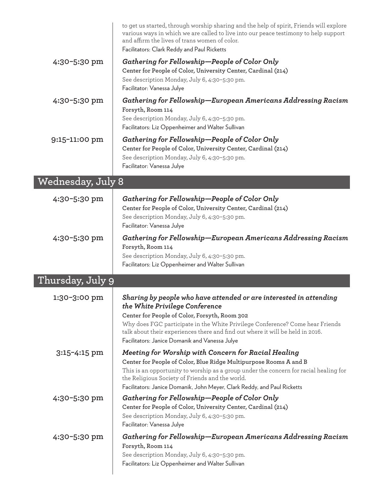|                   | to get us started, through worship sharing and the help of spirit, Friends will explore<br>various ways in which we are called to live into our peace testimony to help support<br>and affirm the lives of trans women of color.<br>Facilitators: Clark Reddy and Paul Ricketts                                                                                            |
|-------------------|----------------------------------------------------------------------------------------------------------------------------------------------------------------------------------------------------------------------------------------------------------------------------------------------------------------------------------------------------------------------------|
| 4:30-5:30 pm      | Gathering for Fellowship—People of Color Only<br>Center for People of Color, University Center, Cardinal (214)<br>See description Monday, July 6, 4:30-5:30 pm.<br>Facilitator: Vanessa Julye                                                                                                                                                                              |
| 4:30-5:30 pm      | Gathering for Fellowship-European Americans Addressing Racism<br>Forsyth, Room 114<br>See description Monday, July 6, 4:30-5:30 pm.<br>Facilitators: Liz Oppenheimer and Walter Sullivan                                                                                                                                                                                   |
| 9:15-11:00 pm     | Gathering for Fellowship—People of Color Only<br>Center for People of Color, University Center, Cardinal (214)<br>See description Monday, July 6, 4:30-5:30 pm.<br>Facilitator: Vanessa Julye                                                                                                                                                                              |
| Wednesday, July 8 |                                                                                                                                                                                                                                                                                                                                                                            |
| 4:30-5:30 pm      | Gathering for Fellowship-People of Color Only<br>Center for People of Color, University Center, Cardinal (214)<br>See description Monday, July 6, 4:30-5:30 pm.<br>Facilitator: Vanessa Julye                                                                                                                                                                              |
| 4:30-5:30 pm      | Gathering for Fellowship—European Americans Addressing Racism<br>Forsyth, Room 114<br>See description Monday, July 6, 4:30-5:30 pm.<br>Facilitators: Liz Oppenheimer and Walter Sullivan                                                                                                                                                                                   |
| Thursday, July 9  |                                                                                                                                                                                                                                                                                                                                                                            |
| 1:30-3:00 pm      | Sharing by people who have attended or are interested in attending<br>the White Privilege Conference<br>Center for People of Color, Forsyth, Room 302<br>Why does FGC participate in the White Privilege Conference? Come hear Friends<br>talk about their experiences there and find out where it will be held in 2016.<br>Facilitators: Janice Domanik and Vanessa Julye |
| $3:15-4:15$ pm    | Meeting for Worship with Concern for Racial Healing<br>Center for People of Color, Blue Ridge Multipurpose Rooms A and B<br>This is an opportunity to worship as a group under the concern for racial healing for<br>the Religious Society of Friends and the world.<br>Facilitators: Janice Domanik, John Meyer, Clark Reddy, and Paul Ricketts                           |
| 4:30-5:30 pm      | Gathering for Fellowship—People of Color Only<br>Center for People of Color, University Center, Cardinal (214)<br>See description Monday, July 6, 4:30-5:30 pm.<br>Facilitator: Vanessa Julye                                                                                                                                                                              |
| 4:30-5:30 pm      | Gathering for Fellowship—European Americans Addressing Racism<br>Forsyth, Room 114<br>See description Monday, July 6, 4:30-5:30 pm.<br>Facilitators: Liz Oppenheimer and Walter Sullivan                                                                                                                                                                                   |